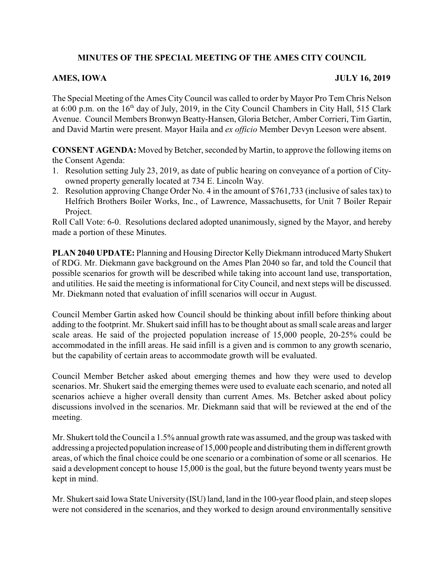# **MINUTES OF THE SPECIAL MEETING OF THE AMES CITY COUNCIL**

## **AMES, IOWA JULY 16, 2019**

The Special Meeting of the Ames City Council was called to order by Mayor Pro Tem Chris Nelson at 6:00 p.m. on the 16<sup>th</sup> day of July, 2019, in the City Council Chambers in City Hall, 515 Clark Avenue. Council Members Bronwyn Beatty-Hansen, Gloria Betcher, Amber Corrieri, Tim Gartin, and David Martin were present. Mayor Haila and *ex officio* Member Devyn Leeson were absent.

**CONSENT AGENDA:** Moved by Betcher, seconded by Martin, to approve the following items on the Consent Agenda:

- 1. Resolution setting July 23, 2019, as date of public hearing on conveyance of a portion of Cityowned property generally located at 734 E. Lincoln Way.
- 2. Resolution approving Change Order No. 4 in the amount of \$761,733 (inclusive of sales tax) to Helfrich Brothers Boiler Works, Inc., of Lawrence, Massachusetts, for Unit 7 Boiler Repair Project.

Roll Call Vote: 6-0. Resolutions declared adopted unanimously, signed by the Mayor, and hereby made a portion of these Minutes.

**PLAN 2040 UPDATE:** Planning and Housing Director Kelly Diekmann introduced Marty Shukert of RDG. Mr. Diekmann gave background on the Ames Plan 2040 so far, and told the Council that possible scenarios for growth will be described while taking into account land use, transportation, and utilities. He said the meeting is informational for CityCouncil, and next steps will be discussed. Mr. Diekmann noted that evaluation of infill scenarios will occur in August.

Council Member Gartin asked how Council should be thinking about infill before thinking about adding to the footprint. Mr. Shukert said infill has to be thought about as small scale areas and larger scale areas. He said of the projected population increase of 15,000 people, 20-25% could be accommodated in the infill areas. He said infill is a given and is common to any growth scenario, but the capability of certain areas to accommodate growth will be evaluated.

Council Member Betcher asked about emerging themes and how they were used to develop scenarios. Mr. Shukert said the emerging themes were used to evaluate each scenario, and noted all scenarios achieve a higher overall density than current Ames. Ms. Betcher asked about policy discussions involved in the scenarios. Mr. Diekmann said that will be reviewed at the end of the meeting.

Mr. Shukert told the Council a 1.5% annual growth rate was assumed, and the group was tasked with addressing a projected population increase of 15,000 people and distributing them in different growth areas, of which the final choice could be one scenario or a combination of some or all scenarios. He said a development concept to house 15,000 is the goal, but the future beyond twenty years must be kept in mind.

Mr. Shukert said Iowa State University (ISU) land, land in the 100-year flood plain, and steep slopes were not considered in the scenarios, and they worked to design around environmentally sensitive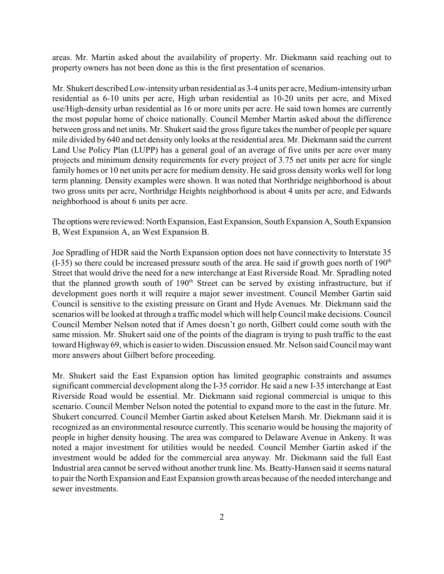areas. Mr. Martin asked about the availability of property. Mr. Diekmann said reaching out to property owners has not been done as this is the first presentation of scenarios.

Mr. Shukert described Low-intensity urban residential as 3-4 units per acre, Medium-intensity urban residential as 6-10 units per acre, High urban residential as 10-20 units per acre, and Mixed use/High-density urban residential as 16 or more units per acre. He said town homes are currently the most popular home of choice nationally. Council Member Martin asked about the difference between gross and net units. Mr. Shukert said the gross figure takes the number of people per square mile divided by 640 and net density only looks at the residential area. Mr. Diekmann said the current Land Use Policy Plan (LUPP) has a general goal of an average of five units per acre over many projects and minimum density requirements for every project of 3.75 net units per acre for single family homes or 10 net units per acre for medium density. He said gross density works well for long term planning. Density examples were shown. It was noted that Northridge neighborhood is about two gross units per acre, Northridge Heights neighborhood is about 4 units per acre, and Edwards neighborhood is about 6 units per acre.

The options were reviewed: North Expansion, East Expansion, South Expansion A, South Expansion B, West Expansion A, an West Expansion B.

Joe Spradling of HDR said the North Expansion option does not have connectivity to Interstate 35  $(I-35)$  so there could be increased pressure south of the area. He said if growth goes north of 190<sup>th</sup> Street that would drive the need for a new interchange at East Riverside Road. Mr. Spradling noted that the planned growth south of  $190<sup>th</sup>$  Street can be served by existing infrastructure, but if development goes north it will require a major sewer investment. Council Member Gartin said Council is sensitive to the existing pressure on Grant and Hyde Avenues. Mr. Diekmann said the scenarios will be looked at through a traffic model which will help Council make decisions. Council Council Member Nelson noted that if Ames doesn't go north, Gilbert could come south with the same mission. Mr. Shukert said one of the points of the diagram is trying to push traffic to the east toward Highway69, which is easier to widen. Discussion ensued. Mr. Nelson said Council maywant more answers about Gilbert before proceeding.

Mr. Shukert said the East Expansion option has limited geographic constraints and assumes significant commercial development along the I-35 corridor. He said a new I-35 interchange at East Riverside Road would be essential. Mr. Diekmann said regional commercial is unique to this scenario. Council Member Nelson noted the potential to expand more to the east in the future. Mr. Shukert concurred. Council Member Gartin asked about Ketelsen Marsh. Mr. Diekmann said it is recognized as an environmental resource currently. This scenario would be housing the majority of people in higher density housing. The area was compared to Delaware Avenue in Ankeny. It was noted a major investment for utilities would be needed. Council Member Gartin asked if the investment would be added for the commercial area anyway. Mr. Diekmann said the full East Industrial area cannot be served without another trunk line. Ms. Beatty-Hansen said it seems natural to pair the North Expansion and East Expansion growth areas because of the needed interchange and sewer investments.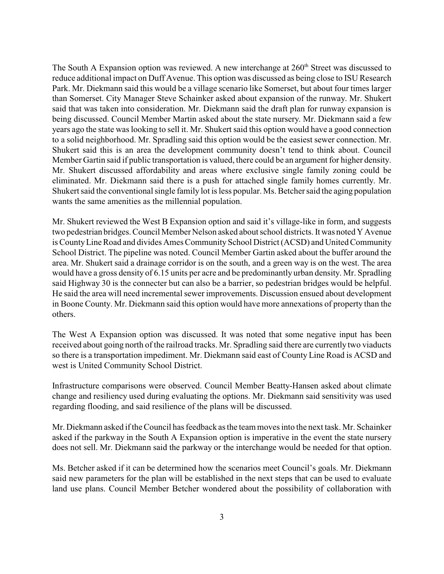The South A Expansion option was reviewed. A new interchange at  $260<sup>th</sup>$  Street was discussed to reduce additional impact on Duff Avenue. This option was discussed as being close to ISU Research Park. Mr. Diekmann said this would be a village scenario like Somerset, but about four times larger than Somerset. City Manager Steve Schainker asked about expansion of the runway. Mr. Shukert said that was taken into consideration. Mr. Diekmann said the draft plan for runway expansion is being discussed. Council Member Martin asked about the state nursery. Mr. Diekmann said a few years ago the state was looking to sell it. Mr. Shukert said this option would have a good connection to a solid neighborhood. Mr. Spradling said this option would be the easiest sewer connection. Mr. Shukert said this is an area the development community doesn't tend to think about. Council Member Gartin said if public transportation is valued, there could be an argument for higher density. Mr. Shukert discussed affordability and areas where exclusive single family zoning could be eliminated. Mr. Diekmann said there is a push for attached single family homes currently. Mr. Shukert said the conventional single family lot is less popular. Ms. Betcher said the aging population wants the same amenities as the millennial population.

Mr. Shukert reviewed the West B Expansion option and said it's village-like in form, and suggests two pedestrian bridges. Council Member Nelson asked about school districts. It was noted Y Avenue is CountyLine Road and divides Ames Community School District (ACSD) and United Community School District. The pipeline was noted. Council Member Gartin asked about the buffer around the area. Mr. Shukert said a drainage corridor is on the south, and a green way is on the west. The area would have a gross density of 6.15 units per acre and be predominantly urban density. Mr. Spradling said Highway 30 is the connecter but can also be a barrier, so pedestrian bridges would be helpful. He said the area will need incremental sewer improvements. Discussion ensued about development in Boone County. Mr. Diekmann said this option would have more annexations of property than the others.

The West A Expansion option was discussed. It was noted that some negative input has been received about going north of the railroad tracks. Mr. Spradling said there are currently two viaducts so there is a transportation impediment. Mr. Diekmann said east of County Line Road is ACSD and west is United Community School District.

Infrastructure comparisons were observed. Council Member Beatty-Hansen asked about climate change and resiliency used during evaluating the options. Mr. Diekmann said sensitivity was used regarding flooding, and said resilience of the plans will be discussed.

Mr. Diekmann asked if the Council has feedback as the team moves into the next task. Mr. Schainker asked if the parkway in the South A Expansion option is imperative in the event the state nursery does not sell. Mr. Diekmann said the parkway or the interchange would be needed for that option.

Ms. Betcher asked if it can be determined how the scenarios meet Council's goals. Mr. Diekmann said new parameters for the plan will be established in the next steps that can be used to evaluate land use plans. Council Member Betcher wondered about the possibility of collaboration with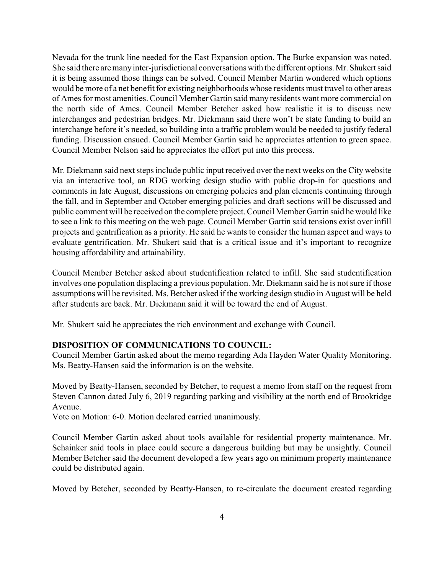Nevada for the trunk line needed for the East Expansion option. The Burke expansion was noted. She said there are manyinter-jurisdictional conversations with the different options.Mr. Shukert said it is being assumed those things can be solved. Council Member Martin wondered which options would be more of a net benefit for existing neighborhoods whose residents must travel to other areas of Ames for most amenities. Council Member Gartin said many residents want more commercial on the north side of Ames. Council Member Betcher asked how realistic it is to discuss new interchanges and pedestrian bridges. Mr. Diekmann said there won't be state funding to build an interchange before it's needed, so building into a traffic problem would be needed to justify federal funding. Discussion ensued. Council Member Gartin said he appreciates attention to green space. Council Member Nelson said he appreciates the effort put into this process.

Mr. Diekmann said next steps include public input received over the next weeks on the City website via an interactive tool, an RDG working design studio with public drop-in for questions and comments in late August, discussions on emerging policies and plan elements continuing through the fall, and in September and October emerging policies and draft sections will be discussed and public comment will be received on the complete project. Council Member Gartin said he would like to see a link to this meeting on the web page. Council Member Gartin said tensions exist over infill projects and gentrification as a priority. He said he wants to consider the human aspect and ways to evaluate gentrification. Mr. Shukert said that is a critical issue and it's important to recognize housing affordability and attainability.

Council Member Betcher asked about studentification related to infill. She said studentification involves one population displacing a previous population. Mr. Diekmann said he is not sure if those assumptions will be revisited. Ms. Betcher asked if the working design studio in August will be held after students are back. Mr. Diekmann said it will be toward the end of August.

Mr. Shukert said he appreciates the rich environment and exchange with Council.

### **DISPOSITION OF COMMUNICATIONS TO COUNCIL:**

Council Member Gartin asked about the memo regarding Ada Hayden Water Quality Monitoring. Ms. Beatty-Hansen said the information is on the website.

Moved by Beatty-Hansen, seconded by Betcher, to request a memo from staff on the request from Steven Cannon dated July 6, 2019 regarding parking and visibility at the north end of Brookridge Avenue.

Vote on Motion: 6-0. Motion declared carried unanimously.

Council Member Gartin asked about tools available for residential property maintenance. Mr. Schainker said tools in place could secure a dangerous building but may be unsightly. Council Member Betcher said the document developed a few years ago on minimum property maintenance could be distributed again.

Moved by Betcher, seconded by Beatty-Hansen, to re-circulate the document created regarding